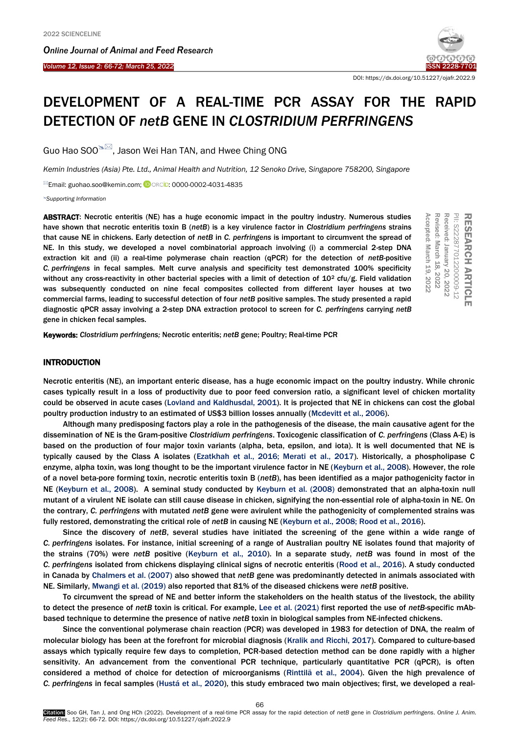Ī

*Online Journal of A[nimal and](http://www.ojafr.ir/main/) Feed Research Volume 12, Issue 2: 66-72; March 25, 2022* 



DOI[: https://dx.doi.org/10.51227/ojafr.2022.9](https://dx.doi.org/10.51227/ojafr.2022.9)

# DEVELOPMENT OF A REAL-TIME PCR ASSAY FOR THE RAPID DETECTION OF *netB* GENE IN *CLOSTRIDIUM PERFRINGENS*

Guo Hao SOO $\infty$  Jason Wei Han TAN, and Hwee Ching ONG

*Kemin Industries (Asia) Pte. Ltd., Animal Health and Nutrition, 12 Senoko Drive, Singapore 758200, Singapore*

**Email: guohao.soo@kemin.com; CORCID: 0000-0002-4031-4835** 

*Supporting Information*

ABSTRACT: Necrotic enteritis (NE) has a huge economic impact in the poultry industry. Numerous studies have shown that necrotic enteritis toxin B (*netB*) is a key virulence factor in *Clostridium perfringens* strains that cause NE in chickens. Early detection of *netB* in *C. perfringens* is important to circumvent the spread of NE. In this study, we developed a novel combinatorial approach involving (i) a commercial 2-step DNA extraction kit and (ii) a real-time polymerase chain reaction (qPCR) for the detection of *netB-*positive *C. perfringens* in fecal samples. Melt curve analysis and specificity test demonstrated 100% specificity without any cross-reactivity in other bacterial species with a limit of detection of  $10^2$  cfu/g. Field validation was subsequently conducted on nine fecal composites collected from different layer houses at two commercial farms, leading to successful detection of four *netB* positive samples. The study presented a rapid diagnostic qPCR assay involving a 2-step DNA extraction protocol to screen for *C. perfringens* carrying *netB* gene in chicken fecal samples. **ABSTRACT:** Necrotic enteritis (NE) has a huge economic impact in the poultry industry. Numerous studies<br>
that cause New in the crotic enteritis toxin B (*netB*) is a key virulence factor in *Clostridium perfringens* strai

## INTRODUCTION

Necrotic enteritis (NE), an important enteric disease, has a huge economic impact on the poultry industry. While chronic cases typically result in a loss of productivity due to poor feed conversion ratio, a significant level of chicken mortality could be observed in acute cases [\(Lovland and Kaldhusdal, 2001\).](#page-6-0) It is projected that NE in chickens can cost the global poultry production industry to an estimated of US\$3 billion losses annually [\(Mcdevitt et al., 2006\).](#page-6-0) 

Although many predisposing factors play a role in the pathogenesis of the disease, the main causative agent for the dissemination of NE is the Gram-positive *Clostridium perfringens*. Toxicogenic classification of *C. perfringens* (Class A-E) is based on the production of four major toxin variants (alpha, beta, epsilon, and iota). It is well documented that NE is typically caused by the Class A isolates [\(Ezatkhah et al., 2016; Merati et al., 2017\).](#page-6-0) Historically, a phospholipase C enzyme, alpha toxin, was long thought to be the important virulence factor in NE [\(Keyburn et al., 2008\).](#page-6-0) However, the role of a novel beta-pore forming toxin, necrotic enteritis toxin B (*netB*), has been identified as a major pathogenicity factor in NE [\(Keyburn et al., 2008\).](#page-6-0) A seminal study conducted b[y Keyburn et al. \(2008\) d](#page-6-0)emonstrated that an alpha-toxin null mutant of a virulent NE isolate can still cause disease in chicken, signifying the non-essential role of alpha-toxin in NE. On the contrary, *C. perfringens* with mutated *netB* gene were avirulent while the pathogenicity of complemented strains was fully restored, demonstrating the critical role of *netB* in causing NE [\(Keyburn et al., 2008; Rood et al., 2016\).](#page-6-0)

Since the discovery of *netB*, several studies have initiated the screening of the gene within a wide range of *C. perfringens* isolates. For instance, initial screening of a range of Australian poultry NE isolates found that majority of the strains (70%) were *netB* positive [\(Keyburn et al., 2010\).](#page-6-0) In a separate study, *netB* was found in most of the *C. perfringens* isolated from chickens displaying clinical signs of necrotic enteritis [\(Rood et al., 2016\).](#page-6-0) A study conducted in Canada by [Chalmers et al. \(2007\)](#page-6-0) also showed that *netB* gene was predominantly detected in animals associated with NE. Similarly[, Mwangi et al. \(2019\) al](#page-6-0)so reported that 81% of the diseased chickens were *netB* positive.

To circumvent the spread of NE and better inform the stakeholders on the health status of the livestock, the ability to detect the presence of *netB* toxin is critical. For example[, Lee et al. \(2021\)](#page-6-0) first reported the use of *netB*-specific mAbbased technique to determine the presence of native *netB* toxin in biological samples from NE-infected chickens.

Since the conventional polymerase chain reaction (PCR) was developed in 1983 for detection of DNA, the realm of molecular biology has been at the forefront for microbial diagnosis [\(Kralik and Ricchi, 2017\)](#page-6-0). Compared to culture-based assays which typically require few days to completion, PCR-based detection method can be done rapidly with a higher sensitivity. An advancement from the conventional PCR technique, particularly quantitative PCR (qPCR), is often considered a method of choice for detection of microorganisms [\(Rinttilä et al., 2004\).](#page-6-0) Given the high prevalence of *C. perfringens* in fecal samples [\(Hustá et al., 2020\),](#page-6-0) this study embraced two main objectives; first, we developed a real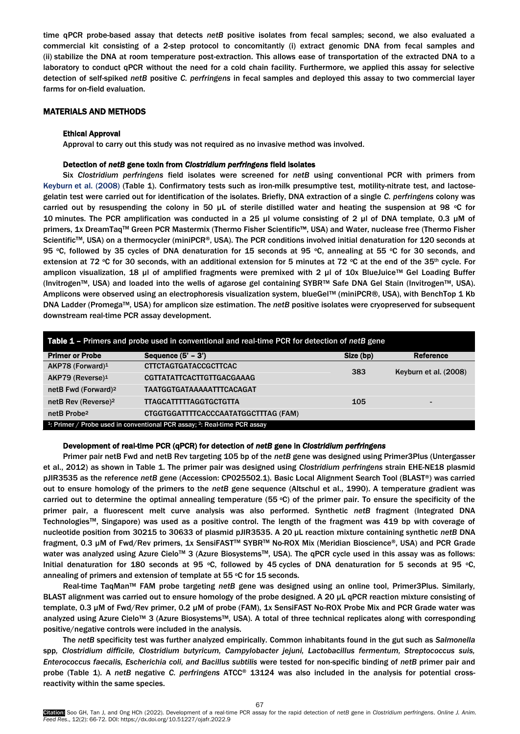time qPCR probe-based assay that detects *netB* positive isolates from fecal samples; second, we also evaluated a commercial kit consisting of a 2-step protocol to concomitantly (i) extract genomic DNA from fecal samples and (ii) stabilize the DNA at room temperature post-extraction. This allows ease of transportation of the extracted DNA to a laboratory to conduct qPCR without the need for a cold chain facility. Furthermore, we applied this assay for selective detection of self-spiked *netB* positive *C. perfringens* in fecal samples and deployed this assay to two commercial layer farms for on-field evaluation.

# MATERIALS AND METHODS

## Ethical Approval

Approval to carry out this study was not required as no invasive method was involved.

## Detection of *netB* gene toxin from *Clostridium perfringens* field isolates

Six *Clostridium perfringens* field isolates were screened for *netB* using conventional PCR with primers from Keyburn [et al. \(2008\)](#page-6-0) (Table 1). Confirmatory tests such as iron-milk presumptive test, motility-nitrate test, and lactosegelatin test were carried out for identification of the isolates. Briefly, DNA extraction of a single *C. perfringens* colony was carried out by resuspending the colony in 50  $\mu$ L of sterile distilled water and heating the suspension at 98 °C for 10 minutes. The PCR amplification was conducted in a 25 µl volume consisting of 2 µl of DNA template, 0.3 µM of primers, 1x DreamTaqTM Green PCR Mastermix (Thermo Fisher Scientific™, USA) and Water, nuclease free (Thermo Fisher Scientific<sup>™</sup>, USA) on a thermocycler (miniPCR®, USA). The PCR conditions involved initial denaturation for 120 seconds at 95 °C, followed by 35 cycles of DNA denaturation for 15 seconds at 95 °C, annealing at 55 °C for 30 seconds, and extension at 72 °C for 30 seconds, with an additional extension for 5 minutes at 72 °C at the end of the 35<sup>th</sup> cycle. For amplicon visualization, 18 µl of amplified fragments were premixed with 2 µl of 10x BlueJuice™ Gel Loading Buffer (InvitrogenTM, USA) and loaded into the wells of agarose gel containing SYBRTM Safe DNA Gel Stain (InvitrogenTM, USA). Amplicons were observed using an electrophoresis visualization system, blueGel™ (miniPCR®, USA), with BenchTop 1 Kb DNA Ladder (PromegaTM, USA) for amplicon size estimation. The *netB* positive isolates were cryopreserved for subsequent downstream real-time PCR assay development.

| <b>Table 1 - Primers and probe used in conventional and real-time PCR for detection of netB gene</b> |                                      |           |                       |  |  |
|------------------------------------------------------------------------------------------------------|--------------------------------------|-----------|-----------------------|--|--|
| <b>Primer or Probe</b>                                                                               | Sequence $(5' - 3')$                 | Size (bp) | Reference             |  |  |
| AKP78 (Forward) <sup>1</sup>                                                                         | <b>CTTCTAGTGATACCGCTTCAC</b>         | 383       | Keyburn et al. (2008) |  |  |
| $AKP79$ (Reverse) <sup>1</sup>                                                                       | CGTTATATTCACTTGTTGACGAAAG            |           |                       |  |  |
| netB Fwd (Forward) <sup>2</sup>                                                                      | <b>TAATGGTGATAAAAAATTTCACAGAT</b>    |           |                       |  |  |
| netB Rev (Reverse) <sup>2</sup>                                                                      | <b>TTAGCATTTTTAGGTGCTGTTA</b>        | 105       | -                     |  |  |
| netB Probe <sup>2</sup>                                                                              | CTGGTGGATTTTCACCCAATATGGCTTTAG (FAM) |           |                       |  |  |
| <sup>1</sup> : Primer / Probe used in conventional PCR assay; <sup>2</sup> : Real-time PCR assay     |                                      |           |                       |  |  |

## Development of real-time PCR (qPCR) for detection of *netB* gene in *Clostridium perfringens*

Primer pair netB Fwd and netB Rev targeting 105 bp of the *netB* gene was designed using Primer3Plus [\(Untergasser](#page-6-0) [et al., 2012\)](#page-6-0) as shown in Table 1. The primer pair was designed using *Clostridium perfringens* strain EHE-NE18 plasmid pJIR3535 as the reference *netB* gene (Accession: CP025502.1). Basic Local Alignment Search Tool (BLAST®) was carried out to ensure homology of the primers to the *netB* gene sequence (Altschul [et al., 1990\).](#page-6-0) A temperature gradient was carried out to determine the optimal annealing temperature  $(55 °C)$  of the primer pair. To ensure the specificity of the primer pair, a fluorescent melt curve analysis was also performed. Synthetic *netB* fragment (Integrated DNA TechnologiesTM, Singapore) was used as a positive control. The length of the fragment was 419 bp with coverage of nucleotide position from 30215 to 30633 of plasmid pJIR3535. A 20 μL reaction mixture containing synthetic *netB* DNA fragment, 0.3 µM of Fwd/Rev primers, 1x SensiFAST™ SYBR™ No-ROX Mix (Meridian Bioscience®, USA) and PCR Grade water was analyzed using Azure Cielo™ 3 (Azure Biosystems™, USA). The qPCR cycle used in this assay was as follows: Initial denaturation for 180 seconds at 95 °C, followed by 45 cycles of DNA denaturation for 5 seconds at 95 °C, annealing of primers and extension of template at 55 °C for 15 seconds.

Real-time TaqMan<sup>™</sup> FAM probe targeting *netB* gene was designed using an online tool, Primer3Plus. Similarly, BLAST alignment was carried out to ensure homology of the probe designed. A 20 µL qPCR reaction mixture consisting of template, 0.3 µM of Fwd/Rev primer, 0.2 µM of probe (FAM), 1x SensiFAST No-ROX Probe Mix and PCR Grade water was analyzed using Azure Cielo™ 3 (Azure Biosystems™, USA). A total of three technical replicates along with corresponding positive/negative controls were included in the analysis.

The *netB* specificity test was further analyzed empirically. Common inhabitants found in the gut such as *Salmonella*  spp*, Clostridium difficile, Clostridium butyricum, Campylobacter jejuni, Lactobacillus fermentum, Streptococcus suis, Enterococcus faecalis, Escherichia coli, and Bacillus subtilis* were tested for non-specific binding of *netB* primer pair and probe (Table 1). A *netB* negative *C. perfringens* ATCC® 13124 was also included in the analysis for potential crossreactivity within the same species.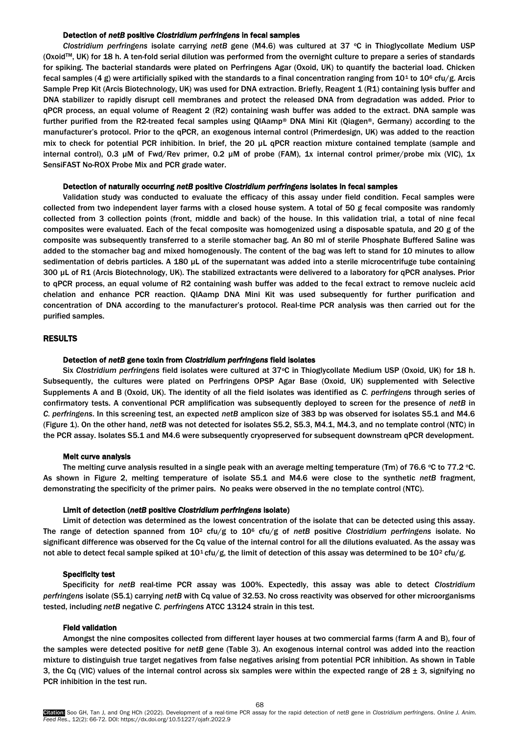# Detection of *netB* positive *Clostridium perfringens* in fecal samples

*Clostridium perfringens* isolate carrying *netB* gene (M4.6) was cultured at 37 °C in Thioglycollate Medium USP (OxoidTM, UK) for 18 h. A ten-fold serial dilution was performed from the overnight culture to prepare a series of standards for spiking. The bacterial standards were plated on Perfringens Agar (Oxoid, UK) to quantify the bacterial load. Chicken fecal samples (4 g) were artificially spiked with the standards to a final concentration ranging from  $10^1$  to  $10^6$  cfu/g. Arcis Sample Prep Kit (Arcis Biotechnology, UK) was used for DNA extraction. Briefly, Reagent 1 (R1) containing lysis buffer and DNA stabilizer to rapidly disrupt cell membranes and protect the released DNA from degradation was added. Prior to qPCR process, an equal volume of Reagent 2 (R2) containing wash buffer was added to the extract. DNA sample was further purified from the R2-treated fecal samples using QIAamp® DNA Mini Kit (Qiagen®, Germany) according to the manufacturer's protocol. Prior to the qPCR, an exogenous internal control (Primerdesign, UK) was added to the reaction mix to check for potential PCR inhibition. In brief, the 20 µL qPCR reaction mixture contained template (sample and internal control), 0.3 µM of Fwd/Rev primer, 0.2 µM of probe (FAM), 1x internal control primer/probe mix (VIC), 1x SensiFAST No-ROX Probe Mix and PCR grade water.

## Detection of naturally occurring *netB* positive *Clostridium perfringens* isolates in fecal samples

Validation study was conducted to evaluate the efficacy of this assay under field condition. Fecal samples were collected from two independent layer farms with a closed house system. A total of 50 g fecal composite was randomly collected from 3 collection points (front, middle and back) of the house. In this validation trial, a total of nine fecal composites were evaluated. Each of the fecal composite was homogenized using a disposable spatula, and 20 g of the composite was subsequently transferred to a sterile stomacher bag. An 80 ml of sterile Phosphate Buffered Saline was added to the stomacher bag and mixed homogenously. The content of the bag was left to stand for 10 minutes to allow sedimentation of debris particles. A 180 μL of the supernatant was added into a sterile microcentrifuge tube containing 300 µL of R1 (Arcis Biotechnology, UK). The stabilized extractants were delivered to a laboratory for qPCR analyses. Prior to qPCR process, an equal volume of R2 containing wash buffer was added to the fecal extract to remove nucleic acid chelation and enhance PCR reaction. QIAamp DNA Mini Kit was used subsequently for further purification and concentration of DNA according to the manufacturer's protocol. Real-time PCR analysis was then carried out for the purified samples.

## RESULTS

## Detection of *netB* gene toxin from *Clostridium perfringens* field isolates

Six Clostridium perfringens field isolates were cultured at 37°C in Thioglycollate Medium USP (Oxoid, UK) for 18 h. Subsequently, the cultures were plated on Perfringens OPSP Agar Base (Oxoid, UK) supplemented with Selective Supplements A and B (Oxoid, UK). The identity of all the field isolates was identified as *C. perfringens* through series of confirmatory tests. A conventional PCR amplification was subsequently deployed to screen for the presence of *netB* in *C. perfringens*. In this screening test, an expected *netB* amplicon size of 383 bp was observed for isolates S5.1 and M4.6 (Figure 1). On the other hand, *netB* was not detected for isolates S5.2, S5.3, M4.1, M4.3, and no template control (NTC) in the PCR assay. Isolates S5.1 and M4.6 were subsequently cryopreserved for subsequent downstream qPCR development.

## Melt curve analysis

The melting curve analysis resulted in a single peak with an average melting temperature (Tm) of 76.6  $\circ$ C to 77.2  $\circ$ C. As shown in Figure 2, melting temperature of isolate S5.1 and M4.6 were close to the synthetic *netB* fragment, demonstrating the specificity of the primer pairs. No peaks were observed in the no template control (NTC).

## Limit of detection (*netB* positive *Clostridium perfringens* isolate)

Limit of detection was determined as the lowest concentration of the isolate that can be detected using this assay. The range of detection spanned from 10<sup>2</sup> cfu/g to 10<sup>6</sup> cfu/g of *netB* positive *Clostridium perfringens* isolate. No significant difference was observed for the Cq value of the internal control for all the dilutions evaluated. As the assay was not able to detect fecal sample spiked at  $10^1$  cfu/g, the limit of detection of this assay was determined to be  $10^2$  cfu/g.

#### Specificity test

Specificity for *netB* real-time PCR assay was 100%. Expectedly, this assay was able to detect *Clostridium perfringens* isolate (S5.1) carrying *netB* with Cq value of 32.53. No cross reactivity was observed for other microorganisms tested, including *netB* negative *C. perfringens* ATCC 13124 strain in this test.

## Field validation

Amongst the nine composites collected from different layer houses at two commercial farms (farm A and B), four of the samples were detected positive for *netB* gene (Table 3). An exogenous internal control was added into the reaction mixture to distinguish true target negatives from false negatives arising from potential PCR inhibition. As shown in Table 3, the Cq (VIC) values of the internal control across six samples were within the expected range of  $28 \pm 3$ , signifying no PCR inhibition in the test run.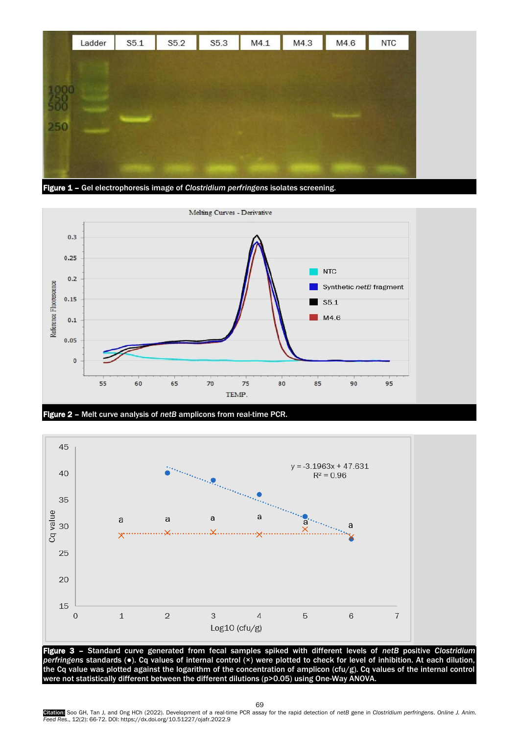

Figure 1 – Gel electrophoresis image of *Clostridium perfringens* isolates screening.







the Cq value was plotted against the logarithm of the concentration of amplicon (cfu/g). Cq values of the internal control were not statistically different between the different dilutions (p>0.05) using One-Way ANOVA.

69

Gitation: Soo GH, Tan J, and Ong HCh (2022). Development of a real-time PCR assay for the rapid detection of *netB* gene in *Clostridium perfringens. Online J. Anim.*<br>Feed Res., 12(2): 66-72. DOI: https://dx.doi.org/10.512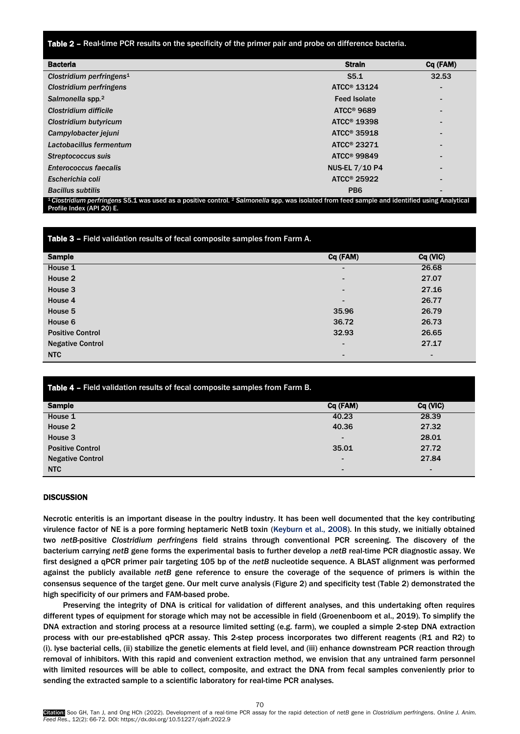Table 2 – Real-time PCR results on the specificity of the primer pair and probe on difference bacteria.

| <b>Bacteria</b>                                                                                                                                                                                   | <b>Strain</b>           | Cq (FAM) |  |  |
|---------------------------------------------------------------------------------------------------------------------------------------------------------------------------------------------------|-------------------------|----------|--|--|
| Clostridium perfringens <sup>1</sup>                                                                                                                                                              | S5.1                    | 32.53    |  |  |
| Clostridium perfringens                                                                                                                                                                           | ATCC <sup>®</sup> 13124 |          |  |  |
| Salmonella spp. <sup>2</sup>                                                                                                                                                                      | <b>Feed Isolate</b>     |          |  |  |
| Clostridium difficile                                                                                                                                                                             | ATCC <sup>®</sup> 9689  |          |  |  |
| Clostridium butyricum                                                                                                                                                                             | ATCC <sup>®</sup> 19398 |          |  |  |
| Campylobacter jejuni                                                                                                                                                                              | ATCC <sup>®</sup> 35918 |          |  |  |
| Lactobacillus fermentum                                                                                                                                                                           | ATCC <sup>®</sup> 23271 |          |  |  |
| Streptococcus suis                                                                                                                                                                                | $ATCC®$ 99849           |          |  |  |
| <b>Enterococcus faecalis</b>                                                                                                                                                                      | <b>NUS-EL 7/10 P4</b>   |          |  |  |
| Escherichia coli                                                                                                                                                                                  | ATCC <sup>®</sup> 25922 |          |  |  |
| <b>Bacillus subtilis</b>                                                                                                                                                                          | PB <sub>6</sub>         |          |  |  |
| <sup>1</sup> Clostridium perfringens S5.1 was used as a positive control. <sup>2</sup> Salmonella spp. was isolated from feed sample and identified using Analytical<br>Profile Index (API 20) E. |                         |          |  |  |

| Table 3 - Field validation results of fecal composite samples from Farm A. |                |          |  |  |
|----------------------------------------------------------------------------|----------------|----------|--|--|
| <b>Sample</b>                                                              | Cq (FAM)       | Cq (VIC) |  |  |
| House 1                                                                    |                | 26.68    |  |  |
| House 2                                                                    |                | 27.07    |  |  |
| House 3                                                                    |                | 27.16    |  |  |
| House 4                                                                    |                | 26.77    |  |  |
| House 5                                                                    | 35.96          | 26.79    |  |  |
| House 6                                                                    | 36.72          | 26.73    |  |  |
| <b>Positive Control</b>                                                    | 32.93          | 26.65    |  |  |
| <b>Negative Control</b>                                                    |                | 27.17    |  |  |
| <b>NTC</b>                                                                 | $\blacksquare$ | -        |  |  |

| Table 4 - Field validation results of fecal composite samples from Farm B. |          |          |  |  |
|----------------------------------------------------------------------------|----------|----------|--|--|
| <b>Sample</b>                                                              | Cq (FAM) | Cq (VIC) |  |  |
| House 1                                                                    | 40.23    | 28.39    |  |  |
| House 2                                                                    | 40.36    | 27.32    |  |  |
| House 3                                                                    |          | 28.01    |  |  |
| <b>Positive Control</b>                                                    | 35.01    | 27.72    |  |  |
| <b>Negative Control</b>                                                    |          | 27.84    |  |  |
| <b>NTC</b>                                                                 |          |          |  |  |

# **DISCUSSION**

Necrotic enteritis is an important disease in the poultry industry. It has been well documented that the key contributing virulence factor of NE is a pore forming heptameric NetB toxin [\(Keyburn et al., 2008\).](#page-6-0) In this study, we initially obtained two *netB*-positive *Clostridium perfringens* field strains through conventional PCR screening. The discovery of the bacterium carrying *netB* gene forms the experimental basis to further develop a *netB* real-time PCR diagnostic assay. We first designed a qPCR primer pair targeting 105 bp of the *netB* nucleotide sequence. A BLAST alignment was performed against the publicly available *netB* gene reference to ensure the coverage of the sequence of primers is within the consensus sequence of the target gene. Our melt curve analysis (Figure 2) and specificity test (Table 2) demonstrated the high specificity of our primers and FAM-based probe.

Preserving the integrity of DNA is critical for validation of different analyses, and this undertaking often requires different types of equipment for storage which may not be accessible in field (G[roenenboom et al., 2019](#page-6-0)). To simplify the DNA extraction and storing process at a resource limited setting (e.g. farm), we coupled a simple 2-step DNA extraction process with our pre-established qPCR assay. This 2-step process incorporates two different reagents (R1 and R2) to (i). lyse bacterial cells, (ii) stabilize the genetic elements at field level, and (iii) enhance downstream PCR reaction through removal of inhibitors. With this rapid and convenient extraction method, we envision that any untrained farm personnel with limited resources will be able to collect, composite, and extract the DNA from fecal samples conveniently prior to sending the extracted sample to a scientific laboratory for real-time PCR analyses.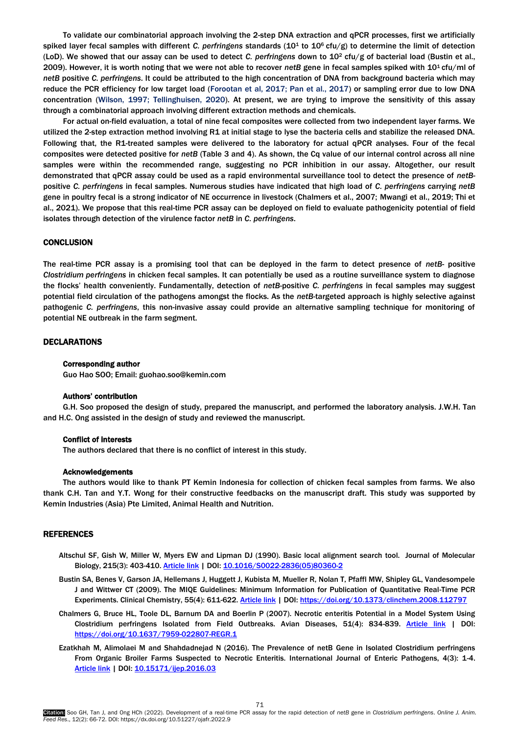To validate our combinatorial approach involving the 2-step DNA extraction and qPCR processes, first we artificially spiked layer fecal samples with different *C. perfringens* standards (101 to 106 cfu/g) to determine the limit of detection (LoD). We showed that our assay can be used to detect *C. perfringens* down to 102 cfu/g of bacterial load [\(Bustin et al.,](#page-6-0)  [2009\).](#page-6-0) However, it is worth noting that we were not able to recover *netB* gene in fecal samples spiked with 10<sup>1</sup> cfu/ml of *netB* positive *C. perfringens*. It could be attributed to the high concentration of DNA from background bacteria which may reduce the PCR efficiency for low target load [\(Forootan et al, 2017; Pan et al., 2017\)](#page-6-0) or sampling error due to low DNA concentration [\(Wilson, 1997; Tellinghuisen, 2020\).](#page-6-0) At present, we are trying to improve the sensitivity of this assay through a combinatorial approach involving different extraction methods and chemicals.

For actual on-field evaluation, a total of nine fecal composites were collected from two independent layer farms. We utilized the 2-step extraction method involving R1 at initial stage to lyse the bacteria cells and stabilize the released DNA. Following that, the R1-treated samples were delivered to the laboratory for actual qPCR analyses. Four of the fecal composites were detected positive for *netB* (Table 3 and 4). As shown, the Cq value of our internal control across all nine samples were within the recommended range, suggesting no PCR inhibition in our assay. Altogether, our result demonstrated that qPCR assay could be used as a rapid environmental surveillance tool to detect the presence of *netB*positive *C. perfringens* in fecal samples. Numerous studies have indicated that high load of *C. perfringens* carrying *netB* gene in poultry fecal is a strong indicator of NE occurrence in livestock [\(Chalmers et al., 2007; Mwangi et al., 2019;](#page-6-0) Thi et al., 2021). We propose that this real-time PCR assay can be deployed on field to evaluate pathogenicity potential of field isolates through detection of the virulence factor *netB* in *C. perfringens*.

# **CONCLUSION**

The real-time PCR assay is a promising tool that can be deployed in the farm to detect presence of *netB*- positive *Clostridium perfringens* in chicken fecal samples. It can potentially be used as a routine surveillance system to diagnose the flocks' health conveniently. Fundamentally, detection of *netB*-positive *C. perfringens* in fecal samples may suggest potential field circulation of the pathogens amongst the flocks. As the *netB*-targeted approach is highly selective against pathogenic *C. perfringens*, this non-invasive assay could provide an alternative sampling technique for monitoring of potential NE outbreak in the farm segment.

## DECLARATIONS

#### Corresponding author

Guo Hao SOO; Email: guohao.soo@kemin.com

## Authors' contribution

G.H. Soo proposed the design of study, prepared the manuscript, and performed the laboratory analysis. J.W.H. Tan and H.C. Ong assisted in the design of study and reviewed the manuscript.

## Conflict of interests

The authors declared that there is no conflict of interest in this study.

## Acknowledgements

The authors would like to thank PT Kemin Indonesia for collection of chicken fecal samples from farms. We also thank C.H. Tan and Y.T. Wong for their constructive feedbacks on the manuscript draft. This study was supported by Kemin Industries (Asia) Pte Limited, Animal Health and Nutrition.

#### REFERENCES

- Altschul SF, Gish W, Miller W, Myers EW and Lipman DJ (1990). Basic local alignment search tool. Journal of Molecular Biology, 215(3): 403-410. [Article link](https://www.sciencedirect.com/science/article/abs/pii/S0022283605803602) | DOI[: 10.1016/S0022-2836\(05\)80360-2](https://doi.org/10.1016/S0022-2836(05)80360-2)
- Bustin SA, Benes V, Garson JA, Hellemans J, Huggett J, Kubista M, Mueller R, Nolan T, Pfaffl MW, Shipley GL, Vandesompele J and Wittwer CT (2009). The MIQE Guidelines: Minimum Information for Publication of Quantitative Real-Time PCR Experiments. Clinical Chemistry, 55(4): 611-622[. Article link](https://academic.oup.com/clinchem/article/55/4/611/5631762?login=true) | DOI[: https://doi.org/10.1373/clinchem.2008.112797](https://doi.org/10.1373/clinchem.2008.112797)
- Chalmers G, Bruce HL, Toole DL, Barnum DA and Boerlin P (2007). Necrotic enteritis Potential in a Model System Using Clostridium perfringens Isolated from Field Outbreaks. Avian Diseases, 51(4): 834-839. [Article link](https://bioone.org/journals/avian-diseases/volume-51/issue-4/7959-022807-REGR.1/Necrotic-Enteritis-Potential-in-a-Model-System-Using-Clostridium-perfringens/10.1637/7959-022807-REGR.1.short) | DOI: <https://doi.org/10.1637/7959-022807-REGR.1>
- Ezatkhah M, Alimolaei M and Shahdadnejad N (2016). The Prevalence of netB Gene in Isolated Clostridium perfringens From Organic Broiler Farms Suspected to Necrotic Enteritis. International Journal of Enteric Pathogens, 4(3): 1-4. [Article link](http://enterpathog.abzums.ac.ir/FullHtml/35667) | DOI: [10.15171/ijep.2016.03](http://dx.doi.org/10.15171/ijep.2016.03)